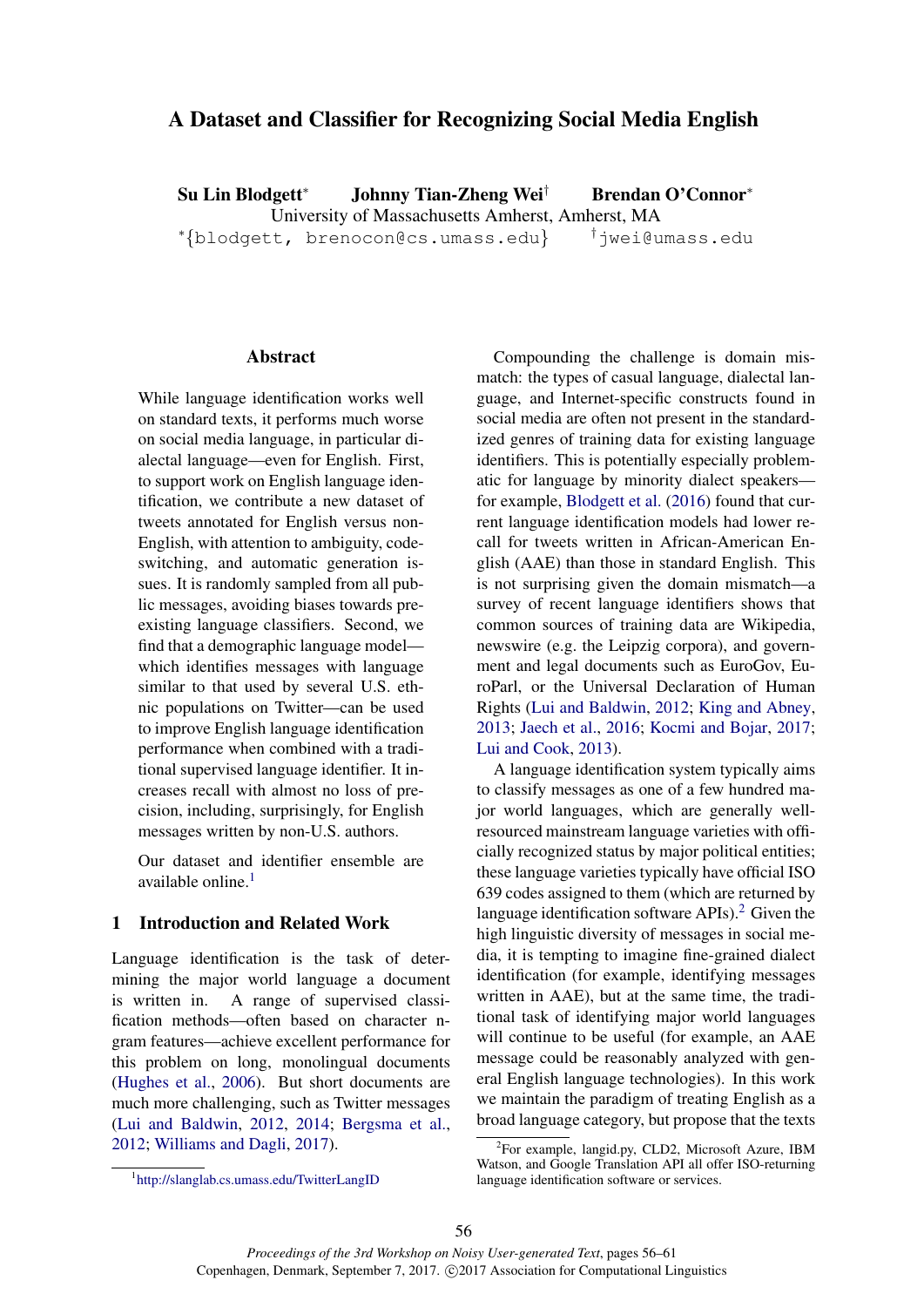# A Dataset and Classifier for Recognizing Social Media English

Su Lin Blodgett<sup>∗</sup> Johnny Tian-Zheng Wei† Brendan O'Connor<sup>∗</sup> University of Massachusetts Amherst, Amherst, MA <sup>∗</sup>{blodgett, brenocon@cs.umass.edu} †jwei@umass.edu

#### **Abstract**

While language identification works well on standard texts, it performs much worse on social media language, in particular dialectal language—even for English. First, to support work on English language identification, we contribute a new dataset of tweets annotated for English versus non-English, with attention to ambiguity, codeswitching, and automatic generation issues. It is randomly sampled from all public messages, avoiding biases towards preexisting language classifiers. Second, we find that a demographic language model which identifies messages with language similar to that used by several U.S. ethnic populations on Twitter—can be used to improve English language identification performance when combined with a traditional supervised language identifier. It increases recall with almost no loss of precision, including, surprisingly, for English messages written by non-U.S. authors.

Our dataset and identifier ensemble are available online.<sup>1</sup>

#### 1 Introduction and Related Work

Language identification is the task of determining the major world language a document is written in. A range of supervised classification methods—often based on character ngram features—achieve excellent performance for this problem on long, monolingual documents (Hughes et al., 2006). But short documents are much more challenging, such as Twitter messages (Lui and Baldwin, 2012, 2014; Bergsma et al., 2012; Williams and Dagli, 2017).

Compounding the challenge is domain mismatch: the types of casual language, dialectal language, and Internet-specific constructs found in social media are often not present in the standardized genres of training data for existing language identifiers. This is potentially especially problematic for language by minority dialect speakers for example, Blodgett et al. (2016) found that current language identification models had lower recall for tweets written in African-American English (AAE) than those in standard English. This is not surprising given the domain mismatch—a survey of recent language identifiers shows that common sources of training data are Wikipedia, newswire (e.g. the Leipzig corpora), and government and legal documents such as EuroGov, EuroParl, or the Universal Declaration of Human Rights (Lui and Baldwin, 2012; King and Abney, 2013; Jaech et al., 2016; Kocmi and Bojar, 2017; Lui and Cook, 2013).

A language identification system typically aims to classify messages as one of a few hundred major world languages, which are generally wellresourced mainstream language varieties with officially recognized status by major political entities; these language varieties typically have official ISO 639 codes assigned to them (which are returned by language identification software APIs).<sup>2</sup> Given the high linguistic diversity of messages in social media, it is tempting to imagine fine-grained dialect identification (for example, identifying messages written in AAE), but at the same time, the traditional task of identifying major world languages will continue to be useful (for example, an AAE message could be reasonably analyzed with general English language technologies). In this work we maintain the paradigm of treating English as a broad language category, but propose that the texts

<sup>1</sup> http://slanglab.cs.umass.edu/TwitterLangID

<sup>2</sup> For example, langid.py, CLD2, Microsoft Azure, IBM Watson, and Google Translation API all offer ISO-returning language identification software or services.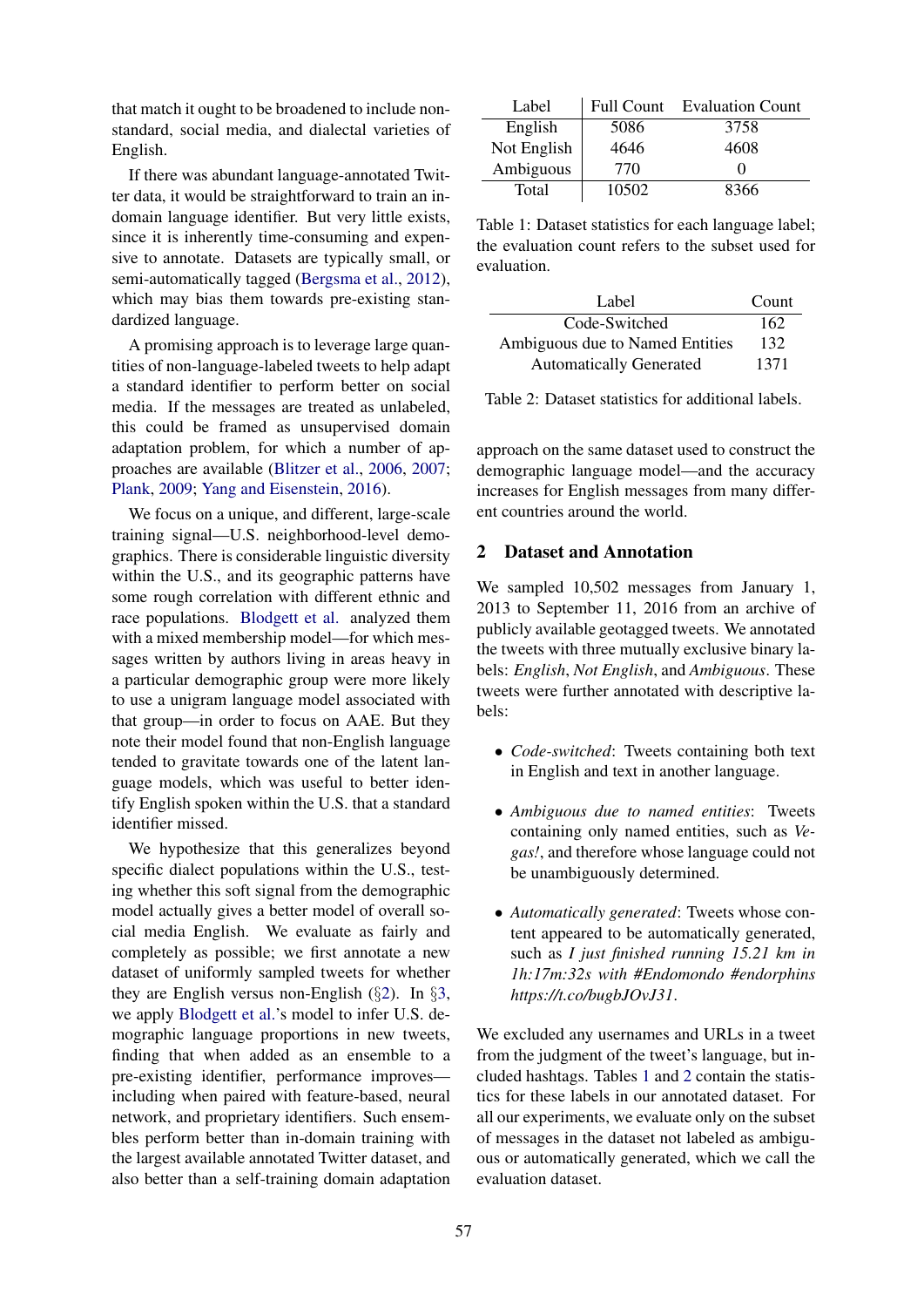that match it ought to be broadened to include nonstandard, social media, and dialectal varieties of English.

If there was abundant language-annotated Twitter data, it would be straightforward to train an indomain language identifier. But very little exists, since it is inherently time-consuming and expensive to annotate. Datasets are typically small, or semi-automatically tagged (Bergsma et al., 2012), which may bias them towards pre-existing standardized language.

A promising approach is to leverage large quantities of non-language-labeled tweets to help adapt a standard identifier to perform better on social media. If the messages are treated as unlabeled, this could be framed as unsupervised domain adaptation problem, for which a number of approaches are available (Blitzer et al., 2006, 2007; Plank, 2009; Yang and Eisenstein, 2016).

We focus on a unique, and different, large-scale training signal—U.S. neighborhood-level demographics. There is considerable linguistic diversity within the U.S., and its geographic patterns have some rough correlation with different ethnic and race populations. Blodgett et al. analyzed them with a mixed membership model—for which messages written by authors living in areas heavy in a particular demographic group were more likely to use a unigram language model associated with that group—in order to focus on AAE. But they note their model found that non-English language tended to gravitate towards one of the latent language models, which was useful to better identify English spoken within the U.S. that a standard identifier missed.

We hypothesize that this generalizes beyond specific dialect populations within the U.S., testing whether this soft signal from the demographic model actually gives a better model of overall social media English. We evaluate as fairly and completely as possible; we first annotate a new dataset of uniformly sampled tweets for whether they are English versus non-English (§2). In §3, we apply Blodgett et al.'s model to infer U.S. demographic language proportions in new tweets, finding that when added as an ensemble to a pre-existing identifier, performance improves including when paired with feature-based, neural network, and proprietary identifiers. Such ensembles perform better than in-domain training with the largest available annotated Twitter dataset, and also better than a self-training domain adaptation

| Label       | <b>Full Count</b> | <b>Evaluation Count</b> |
|-------------|-------------------|-------------------------|
| English     | 5086              | 3758                    |
| Not English | 4646              | 4608                    |
| Ambiguous   | 770               | $\mathbf{\Omega}$       |
| Total       | 10502             | 8366                    |

Table 1: Dataset statistics for each language label; the evaluation count refers to the subset used for evaluation.

| Label.                          | Count |
|---------------------------------|-------|
| Code-Switched                   | 162   |
| Ambiguous due to Named Entities | 132   |
| <b>Automatically Generated</b>  | 1371  |

Table 2: Dataset statistics for additional labels.

approach on the same dataset used to construct the demographic language model—and the accuracy increases for English messages from many different countries around the world.

## 2 Dataset and Annotation

We sampled  $10,502$  messages from January 1, 2013 to September 11, 2016 from an archive of publicly available geotagged tweets. We annotated the tweets with three mutually exclusive binary labels: *English*, *Not English*, and *Ambiguous*. These tweets were further annotated with descriptive labels:

- *Code-switched*: Tweets containing both text in English and text in another language.
- *Ambiguous due to named entities*: Tweets containing only named entities, such as *Vegas!*, and therefore whose language could not be unambiguously determined.
- *Automatically generated*: Tweets whose content appeared to be automatically generated, such as *I just finished running 15.21 km in 1h:17m:32s with #Endomondo #endorphins https://t.co/bugbJOvJ31*.

We excluded any usernames and URLs in a tweet from the judgment of the tweet's language, but included hashtags. Tables 1 and 2 contain the statistics for these labels in our annotated dataset. For all our experiments, we evaluate only on the subset of messages in the dataset not labeled as ambiguous or automatically generated, which we call the evaluation dataset.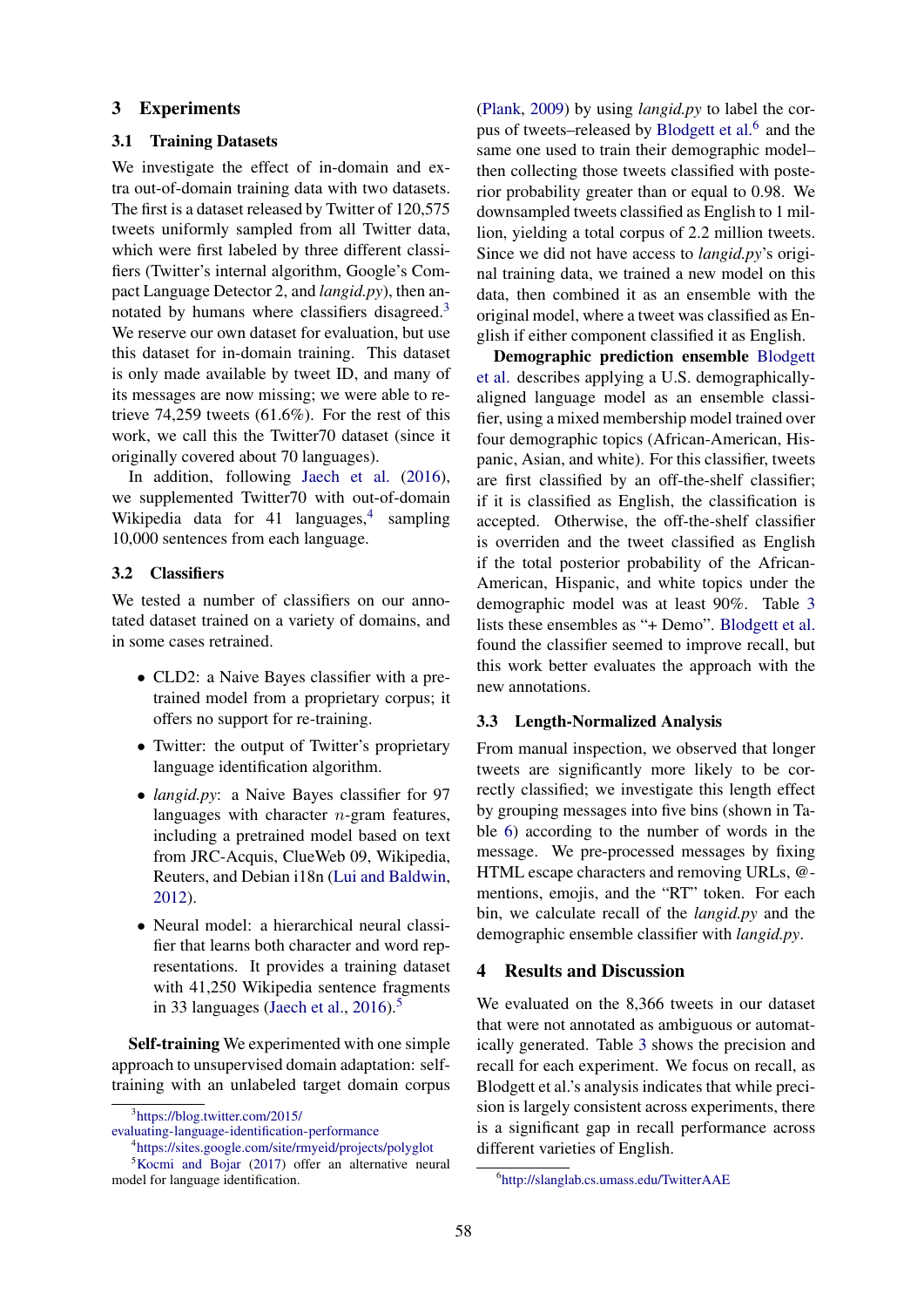#### 3 Experiments

#### 3.1 Training Datasets

We investigate the effect of in-domain and extra out-of-domain training data with two datasets. The first is a dataset released by Twitter of 120,575 tweets uniformly sampled from all Twitter data, which were first labeled by three different classifiers (Twitter's internal algorithm, Google's Compact Language Detector 2, and *langid.py*), then annotated by humans where classifiers disagreed.<sup>3</sup> We reserve our own dataset for evaluation, but use this dataset for in-domain training. This dataset is only made available by tweet ID, and many of its messages are now missing; we were able to retrieve 74,259 tweets  $(61.6\%)$ . For the rest of this work, we call this the Twitter70 dataset (since it originally covered about 70 languages).

In addition, following Jaech et al. (2016), we supplemented Twitter70 with out-of-domain Wikipedia data for 41 languages,<sup>4</sup> sampling 10,000 sentences from each language.

## 3.2 Classifiers

We tested a number of classifiers on our annotated dataset trained on a variety of domains, and in some cases retrained.

- CLD2: a Naive Bayes classifier with a pretrained model from a proprietary corpus; it offers no support for re-training.
- Twitter: the output of Twitter's proprietary language identification algorithm.
- *langid.py*: a Naive Bayes classifier for 97 languages with character  $n$ -gram features, including a pretrained model based on text from JRC-Acquis, ClueWeb 09, Wikipedia, Reuters, and Debian i18n (Lui and Baldwin, 2012).
- Neural model: a hierarchical neural classifier that learns both character and word representations. It provides a training dataset with 41,250 Wikipedia sentence fragments in 33 languages (Jaech et al.,  $2016$ ).<sup>5</sup>

Self-training We experimented with one simple approach to unsupervised domain adaptation: selftraining with an unlabeled target domain corpus

3 https://blog.twitter.com/2015/

evaluating-language-identification-performance

(Plank, 2009) by using *langid.py* to label the corpus of tweets–released by Blodgett et al.<sup>6</sup> and the same one used to train their demographic model– then collecting those tweets classified with posterior probability greater than or equal to 0.98. We downsampled tweets classified as English to 1 million, yielding a total corpus of 2.2 million tweets. Since we did not have access to *langid.py*'s original training data, we trained a new model on this data, then combined it as an ensemble with the original model, where a tweet was classified as English if either component classified it as English.

Demographic prediction ensemble Blodgett et al. describes applying a U.S. demographicallyaligned language model as an ensemble classifier, using a mixed membership model trained over four demographic topics (African-American, Hispanic, Asian, and white). For this classifier, tweets are first classified by an off-the-shelf classifier; if it is classified as English, the classification is accepted. Otherwise, the off-the-shelf classifier is overriden and the tweet classified as English if the total posterior probability of the African-American, Hispanic, and white topics under the demographic model was at least 90%. Table 3 lists these ensembles as "+ Demo". Blodgett et al. found the classifier seemed to improve recall, but this work better evaluates the approach with the new annotations.

#### 3.3 Length-Normalized Analysis

From manual inspection, we observed that longer tweets are significantly more likely to be correctly classified; we investigate this length effect by grouping messages into five bins (shown in Table 6) according to the number of words in the message. We pre-processed messages by fixing HTML escape characters and removing URLs, @ mentions, emojis, and the "RT" token. For each bin, we calculate recall of the *langid.py* and the demographic ensemble classifier with *langid.py*.

### 4 Results and Discussion

We evaluated on the 8,366 tweets in our dataset that were not annotated as ambiguous or automatically generated. Table 3 shows the precision and recall for each experiment. We focus on recall, as Blodgett et al.'s analysis indicates that while precision is largely consistent across experiments, there is a significant gap in recall performance across different varieties of English.

<sup>4</sup> https://sites.google.com/site/rmyeid/projects/polyglot <sup>5</sup>Kocmi and Bojar (2017) offer an alternative neural model for language identification.

<sup>6</sup> http://slanglab.cs.umass.edu/TwitterAAE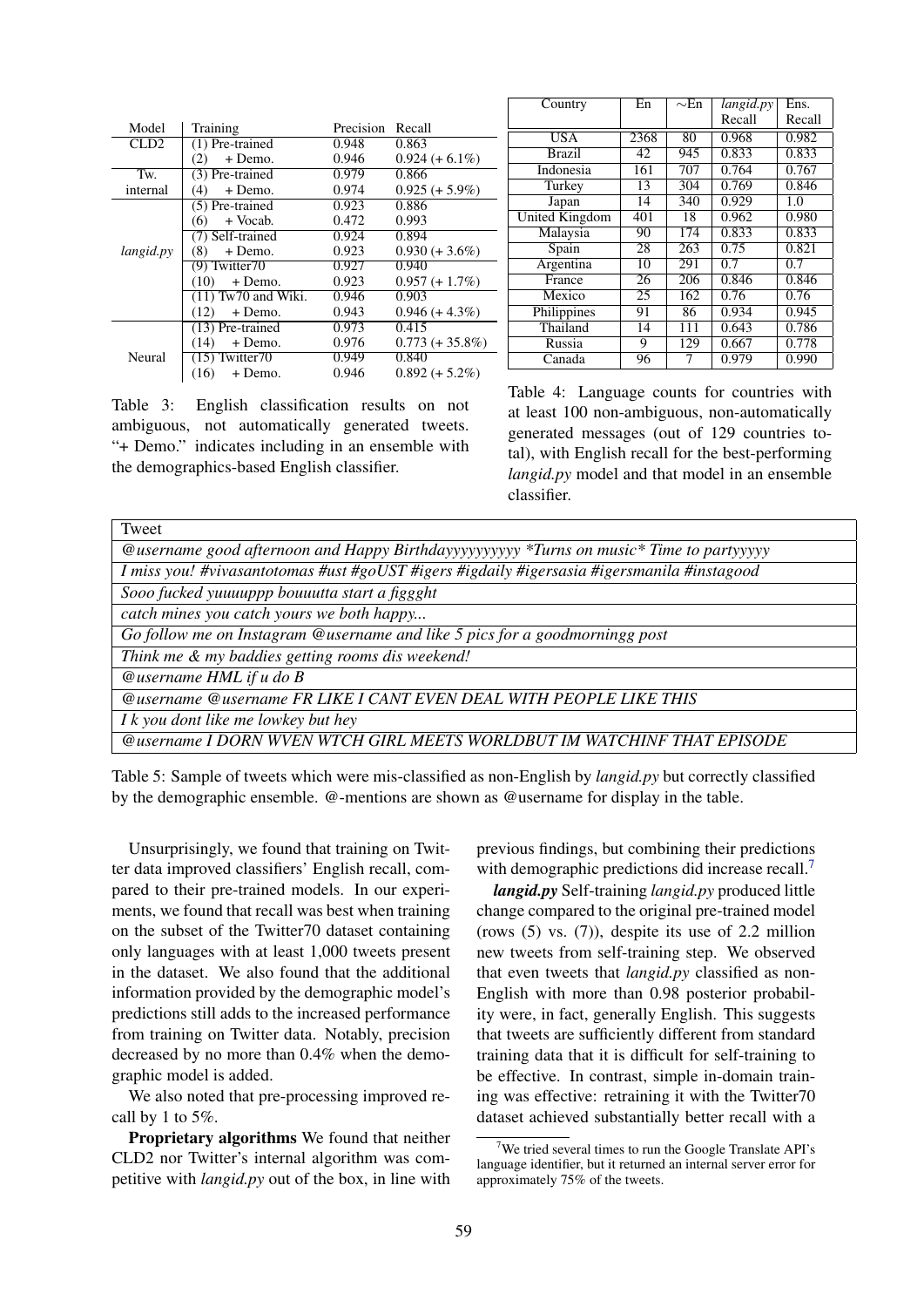| Model     | Training              | Precision | Recall             |
|-----------|-----------------------|-----------|--------------------|
| CLD2      | $(1)$ Pre-trained     | 0.948     | 0.863              |
|           | + Demo.<br>(2)        | 0.946     | $0.924 (+ 6.1\%)$  |
| Tw.       | (3) Pre-trained       | 0.979     | 0.866              |
| internal  | + Demo.<br>(4)        | 0.974     | $0.925 (+ 5.9\%)$  |
|           | (5) Pre-trained       | 0.923     | 0.886              |
|           | + Vocab.<br>(6)       | 0.472     | 0.993              |
|           | (7) Self-trained      | 0.924     | 0.894              |
| langid.py | + Demo.<br>(8)        | 0.923     | $0.930 (+ 3.6\%)$  |
|           | $(9)$ Twitter $70$    | 0.927     | 0.940              |
|           | + Demo.<br>(10)       | 0.923     | $0.957 (+ 1.7\%)$  |
|           | $(11)$ Tw70 and Wiki. | 0.946     | 0.903              |
|           | + Demo.<br>(12)       | 0.943     | $0.946 (+ 4.3\%)$  |
|           | $(13)$ Pre-trained    | 0.973     | 0.415              |
|           | + Demo.<br>(14)       | 0.976     | $0.773 (+ 35.8\%)$ |
| Neural    | $(15)$ Twitter 70     | 0.949     | 0.840              |
|           | (16)<br>+ Demo.       | 0.946     | $0.892 (+ 5.2\%)$  |

USA 2368 80 0.968 0.982<br>Brazil 42 945 0.833 0.833 Brazil | 42 | 945 | 0.833 | 0.833 Indonesia 161 707 0.764 0.767<br>Turkey 13 304 0.769 0.846 Turkey 13 304 0.769 0.846<br>Japan 14 340 0.929 1.0 14 340 0.929<br>ed Kingdom 401 18 0.962 United Kingdom 401 18 0.962 0.980 Malaysia 90 174 0.833 0.833 Spain 28 263<br>
<u>rgentina</u> 10 291 Argentina 10 291 0.7 0.7<br>
France 26 206 0.846 0.846 France 26 206 0.846 0.846<br>Mexico 25 162 0.76 0.76 Mexico 25<br>hilippines 91 Philippines 91 86 0.934 0.945<br>Thailand 14 111 0.643 0.786 Thailand 14 111 0.643 Russia 9 129 0.667 0.778<br>Canada 96 7 0.979 0.990 Canada 96 7 0.979

Country En ∼En *langid.py*

Recall

Ens. Recall

Table 3: English classification results on not ambiguous, not automatically generated tweets. "+ Demo." indicates including in an ensemble with the demographics-based English classifier.

Table 4: Language counts for countries with at least 100 non-ambiguous, non-automatically generated messages (out of 129 countries total), with English recall for the best-performing *langid.py* model and that model in an ensemble classifier.

Table 5: Sample of tweets which were mis-classified as non-English by *langid.py* but correctly classified by the demographic ensemble. @-mentions are shown as @username for display in the table.

Unsurprisingly, we found that training on Twitter data improved classifiers' English recall, compared to their pre-trained models. In our experiments, we found that recall was best when training on the subset of the Twitter70 dataset containing only languages with at least 1,000 tweets present in the dataset. We also found that the additional information provided by the demographic model's predictions still adds to the increased performance from training on Twitter data. Notably, precision decreased by no more than 0.4% when the demographic model is added.

We also noted that pre-processing improved recall by 1 to  $5\%$ .

Proprietary algorithms We found that neither CLD2 nor Twitter's internal algorithm was competitive with *langid.py* out of the box, in line with previous findings, but combining their predictions with demographic predictions did increase recall.<sup>7</sup>

*langid.py* Self-training *langid.py* produced little change compared to the original pre-trained model (rows (5) vs. (7)), despite its use of 2.2 million new tweets from self-training step. We observed that even tweets that *langid.py* classified as non-English with more than 0.98 posterior probability were, in fact, generally English. This suggests that tweets are sufficiently different from standard training data that it is difficult for self-training to be effective. In contrast, simple in-domain training was effective: retraining it with the Twitter70 dataset achieved substantially better recall with a

 $7$ We tried several times to run the Google Translate API's language identifier, but it returned an internal server error for approximately 75% of the tweets.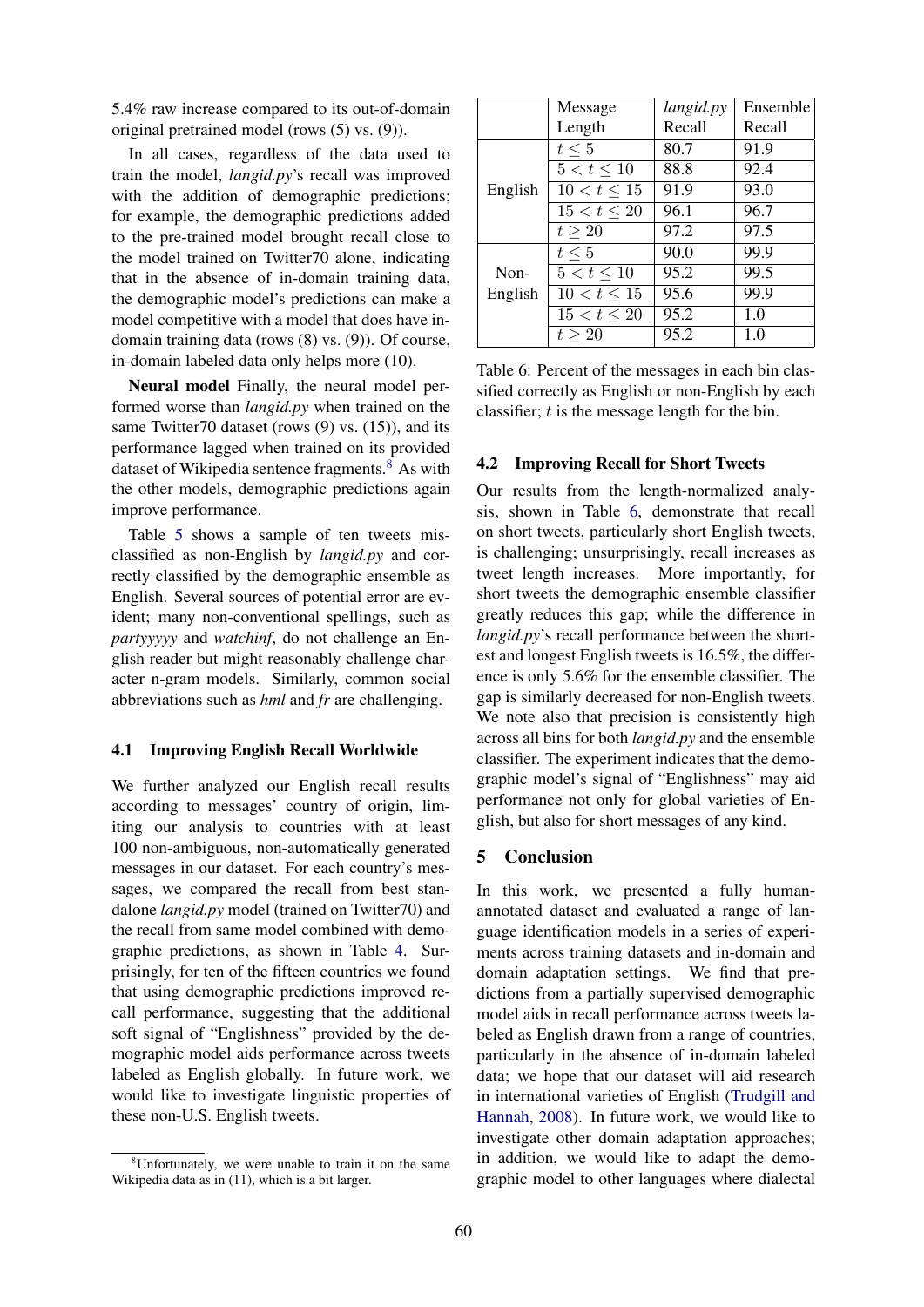5.4% raw increase compared to its out-of-domain original pretrained model (rows (5) vs. (9)).

In all cases, regardless of the data used to train the model, *langid.py*'s recall was improved with the addition of demographic predictions; for example, the demographic predictions added to the pre-trained model brought recall close to the model trained on Twitter70 alone, indicating that in the absence of in-domain training data, the demographic model's predictions can make a model competitive with a model that does have indomain training data (rows (8) vs. (9)). Of course, in-domain labeled data only helps more (10).

Neural model Finally, the neural model performed worse than *langid.py* when trained on the same Twitter70 dataset (rows (9) vs. (15)), and its performance lagged when trained on its provided dataset of Wikipedia sentence fragments. $8$  As with the other models, demographic predictions again improve performance.

Table 5 shows a sample of ten tweets misclassified as non-English by *langid.py* and correctly classified by the demographic ensemble as English. Several sources of potential error are evident; many non-conventional spellings, such as *partyyyyy* and *watchinf*, do not challenge an English reader but might reasonably challenge character n-gram models. Similarly, common social abbreviations such as *hml* and *fr* are challenging.

#### 4.1 Improving English Recall Worldwide

We further analyzed our English recall results according to messages' country of origin, limiting our analysis to countries with at least 100 non-ambiguous, non-automatically generated messages in our dataset. For each country's messages, we compared the recall from best standalone *langid.py* model (trained on Twitter70) and the recall from same model combined with demographic predictions, as shown in Table 4. Surprisingly, for ten of the fifteen countries we found that using demographic predictions improved recall performance, suggesting that the additional soft signal of "Englishness" provided by the demographic model aids performance across tweets labeled as English globally. In future work, we would like to investigate linguistic properties of these non-U.S. English tweets.

|                 | Message          | langid.py | Ensemble |
|-----------------|------------------|-----------|----------|
|                 | Length           | Recall    | Recall   |
| English         | $t \leq 5$       | 80.7      | 91.9     |
|                 | 5 < t < 10       | 88.8      | 92.4     |
|                 | 10 < t < 15      | 91.9      | 93.0     |
|                 | $15 < t \leq 20$ | 96.1      | 96.7     |
|                 | $t \geq 20$      | 97.2      | 97.5     |
| Non-<br>English | $t \leq 5$       | 90.0      | 99.9     |
|                 | 5 < t < 10       | 95.2      | 99.5     |
|                 | 10 < t < 15      | 95.6      | 99.9     |
|                 | $15 < t \leq 20$ | 95.2      | 1.0      |
|                 | $t \geq 20$      | 95.2      | 1.0      |

Table 6: Percent of the messages in each bin classified correctly as English or non-English by each classifier;  $t$  is the message length for the bin.

#### 4.2 Improving Recall for Short Tweets

Our results from the length-normalized analysis, shown in Table 6, demonstrate that recall on short tweets, particularly short English tweets, is challenging; unsurprisingly, recall increases as tweet length increases. More importantly, for short tweets the demographic ensemble classifier greatly reduces this gap; while the difference in *langid.py*'s recall performance between the shortest and longest English tweets is 16.5%, the difference is only 5.6% for the ensemble classifier. The gap is similarly decreased for non-English tweets. We note also that precision is consistently high across all bins for both *langid.py* and the ensemble classifier. The experiment indicates that the demographic model's signal of "Englishness" may aid performance not only for global varieties of English, but also for short messages of any kind.

#### 5 Conclusion

In this work, we presented a fully humanannotated dataset and evaluated a range of language identification models in a series of experiments across training datasets and in-domain and domain adaptation settings. We find that predictions from a partially supervised demographic model aids in recall performance across tweets labeled as English drawn from a range of countries, particularly in the absence of in-domain labeled data; we hope that our dataset will aid research in international varieties of English (Trudgill and Hannah, 2008). In future work, we would like to investigate other domain adaptation approaches; in addition, we would like to adapt the demographic model to other languages where dialectal

<sup>8</sup>Unfortunately, we were unable to train it on the same Wikipedia data as in (11), which is a bit larger.